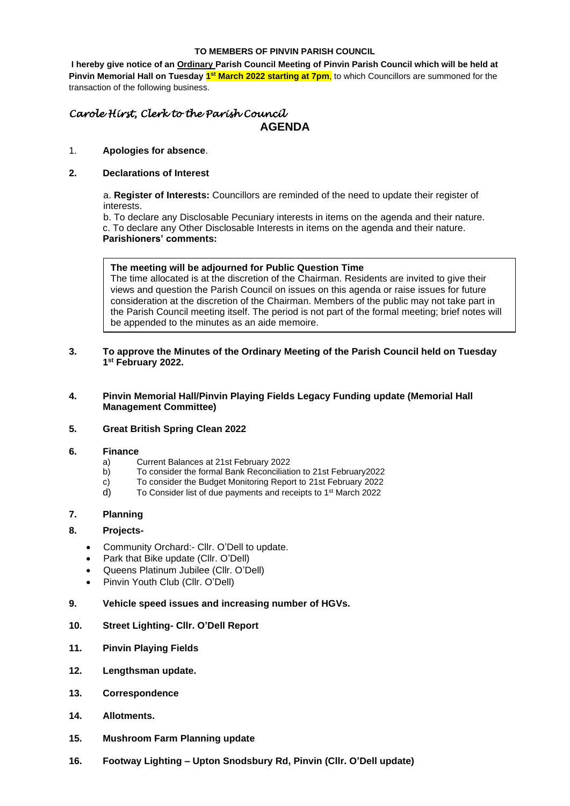#### **TO MEMBERS OF PINVIN PARISH COUNCIL**

**I hereby give notice of an Ordinary Parish Council Meeting of Pinvin Parish Council which will be held at**  Pinvin Memorial Hall on Tuesday 1<sup>st</sup> March 2022 starting at 7pm, to which Councillors are summoned for the transaction of the following business.

## *Carole Hirst, Clerk to the Parish Council* **AGENDA**

#### 1. **Apologies for absence**.

### **2. Declarations of Interest**

a. **Register of Interests:** Councillors are reminded of the need to update their register of interests.

b. To declare any Disclosable Pecuniary interests in items on the agenda and their nature. c. To declare any Other Disclosable Interests in items on the agenda and their nature.

#### **Parishioners' comments:**

#### **The meeting will be adjourned for Public Question Time**

The time allocated is at the discretion of the Chairman. Residents are invited to give their views and question the Parish Council on issues on this agenda or raise issues for future consideration at the discretion of the Chairman. Members of the public may not take part in the Parish Council meeting itself. The period is not part of the formal meeting; brief notes will be appended to the minutes as an aide memoire.

#### **3. To approve the Minutes of the Ordinary Meeting of the Parish Council held on Tuesday 1 st February 2022.**

#### **4. Pinvin Memorial Hall/Pinvin Playing Fields Legacy Funding update (Memorial Hall Management Committee)**

## **5. Great British Spring Clean 2022**

#### **6. Finance**

- a) Current Balances at 21st February 2022
- b) To consider the formal Bank Reconciliation to 21st February2022
- c) To consider the Budget Monitoring Report to 21st February 2022
- d) To Consider list of due payments and receipts to 1<sup>st</sup> March 2022

## **7. Planning**

## **8. Projects-**

- Community Orchard:- Cllr. O'Dell to update.
- Park that Bike update (Cllr. O'Dell)
- Queens Platinum Jubilee (Cllr. O'Dell)
- Pinvin Youth Club (Cllr. O'Dell)

#### **9. Vehicle speed issues and increasing number of HGVs.**

## **10. Street Lighting- Cllr. O'Dell Report**

- **11. Pinvin Playing Fields**
- **12. Lengthsman update.**
- **13. Correspondence**
- **14. Allotments.**
- **15. Mushroom Farm Planning update**
- **16. Footway Lighting – Upton Snodsbury Rd, Pinvin (Cllr. O'Dell update)**